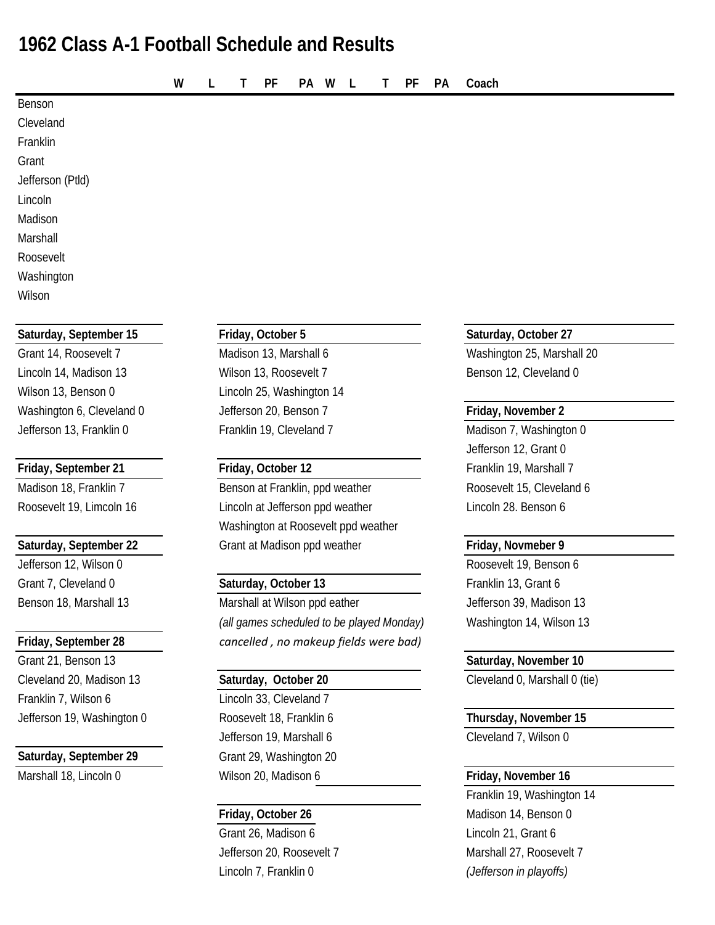# **1962 Class A-1 Football Schedule and Results**

**W L T PF PA W L T PF PA Coach**

| Saturday, September 15 | Friday, October 5 | Saturday, October 27 |
|------------------------|-------------------|----------------------|
|                        |                   |                      |
| Wilson                 |                   |                      |
| Washington             |                   |                      |
| Roosevelt              |                   |                      |
| Marshall               |                   |                      |
| Madison                |                   |                      |
| Lincoln                |                   |                      |
| Jefferson (Ptld)       |                   |                      |
| Grant                  |                   |                      |
| Franklin               |                   |                      |
| Cleveland              |                   |                      |
| Benson                 |                   |                      |

Grant 7, Cleveland 0 **Saturday, October 13** Franklin 13, Grant 6

Grant 21, Benson 13 **Saturday, November 10** Cleveland 20, Madison 13 **Saturday, October 20** Cleveland 0, Marshall 0 (tie) Franklin 7, Wilson 6 Lincoln 33, Cleveland 7 Jefferson 19, Washington 0 Roosevelt 18, Franklin 6 **Thursday, November 15**

### **Saturday, September 29** Grant 29, Washington 20

Lincoln 14, Madison 13 **Milson 13, Roosevelt 7** Benson 12, Cleveland 0 Wilson 13, Benson 0 Lincoln 25, Washington 14 Washington 6, Cleveland 0 **Jefferson 20, Benson 7 Friday, November 2** Jefferson 13, Franklin 0 Franklin 19, Cleveland 7 Madison 7, Washington 0

Madison 18, Franklin 7 Benson at Franklin, ppd weather Roosevelt 15, Cleveland 6 Roosevelt 19, Limcoln 16 Lincoln at Jefferson ppd weather Lincoln 28. Benson 6 Washington at Roosevelt ppd weather **Saturday, September 22** Grant at Madison ppd weather **Friday, Novmeber 9** 

Benson 18, Marshall 13 Marshall at Wilson ppd eather Senson 18, Madison 13 *(all games scheduled to be played Monday)* Washington 14, Wilson 13 **Friday, September 28** *cancelled , no makeup fields were bad)*

Jefferson 19, Marshall 6 Cleveland 7, Wilson 0 Marshall 18, Lincoln 0 **Wilson 20, Madison 6 Friday, November 16** 

Grant 26, Madison 6 Lincoln 21, Grant 6 Jefferson 20, Roosevelt 7 Marshall 27, Roosevelt 7 Lincoln 7, Franklin 0 *(Jefferson in playoffs)*

Grant 14, Roosevelt 7 **Madison 13, Marshall 6** Washington 25, Marshall 20

Jefferson 12, Grant 0 **Friday, September 21 Friday, October 12** Friday, October 12

Jefferson 12, Wilson 0 Roosevelt 19, Benson 6

Franklin 19, Washington 14 **Friday, October 26** Madison 14, Benson 0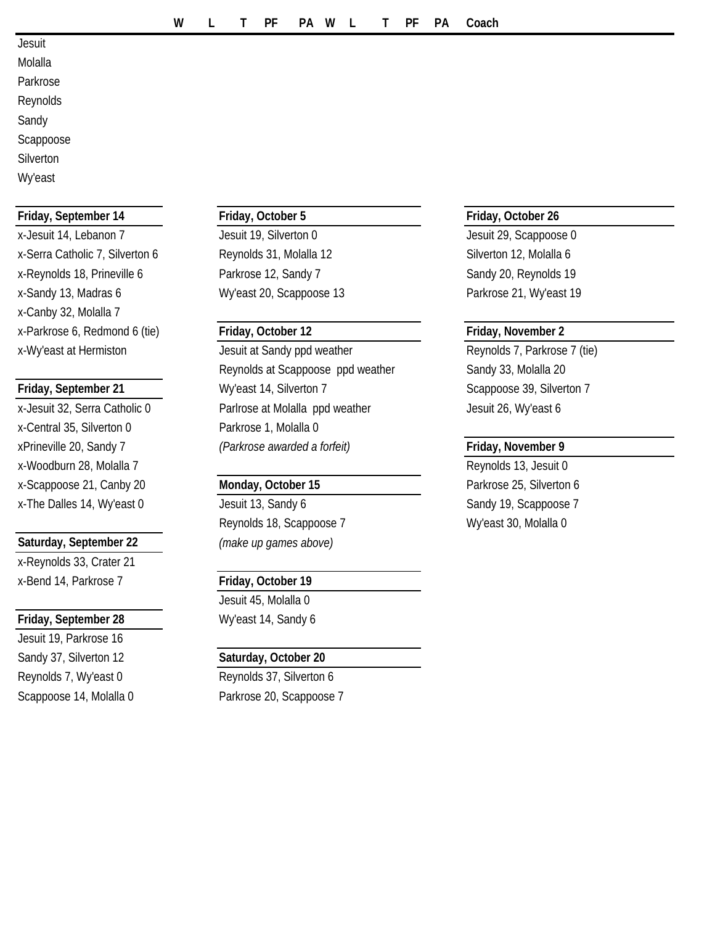- **Jesuit**
- Molalla Parkrose Reynolds Sandy
- Scappoose
- **Silverton**
- Wy'east

### **Friday, September 14 Friday, October 5 Friday, October 26**

x-Jesuit 14, Lebanon 7 **Jesuit 19, Silverton 0** Jesuit 29, Scappoose 0 x-Serra Catholic 7, Silverton 6 Reynolds 31, Molalla 12 Silverton 12, Molalla 6 x-Reynolds 18, Prineville 6 **Parkrose 12, Sandy 7** Sandy 20, Reynolds 19 x-Sandy 13, Madras 6 Wy'east 20, Scappoose 13 Parkrose 21, Wy'east 19 x-Canby 32, Molalla 7 x-Parkrose 6, Redmond 6 (tie) **Friday, October 12 Friday, November 2**

x-Central 35, Silverton 0 Parkrose 1, Molalla 0 x-Woodburn 28, Molalla 7 **Reynolds 13, Jesuit 0 Reynolds 13, Jesuit 0** x-Scappoose 21, Canby 20 **Monday, October 15** Parkrose 25, Silverton 6 x-The Dalles 14, Wy'east 0 Jesuit 13, Sandy 6 Sandy 19, Scappoose 7

### **Saturday, September 22** *(make up games above)*

x-Reynolds 33, Crater 21 x-Bend 14, Parkrose 7 **Friday, October 19**

### **Friday, September 28** Wy'east 14, Sandy 6

Jesuit 19, Parkrose 16 Sandy 37, Silverton 12 **Saturday, October 20** Reynolds 7, Wy'east 0 Reynolds 37, Silverton 6

x-Wy'east at Hermiston **Farkrow Music Strategies** Jesuit at Sandy ppd weather **Reynolds 7, Parkrose 7** (tie) Reynolds at Scappoose ppd weather Sandy 33, Molalla 20 **Friday, September 21** Wy'east 14, Silverton 7 Scappoose 39, Silverton 7 x-Jesuit 32, Serra Catholic 0 Parlrose at Molalla ppd weather Jesuit 26, Wy'east 6 xPrineville 20, Sandy 7 *(Parkrose awarded a forfeit)* **Friday, November 9**

Reynolds 18, Scappoose 7 Wy'east 30, Molalla 0

Jesuit 45, Molalla 0

Scappoose 14, Molalla 0 Parkrose 20, Scappoose 7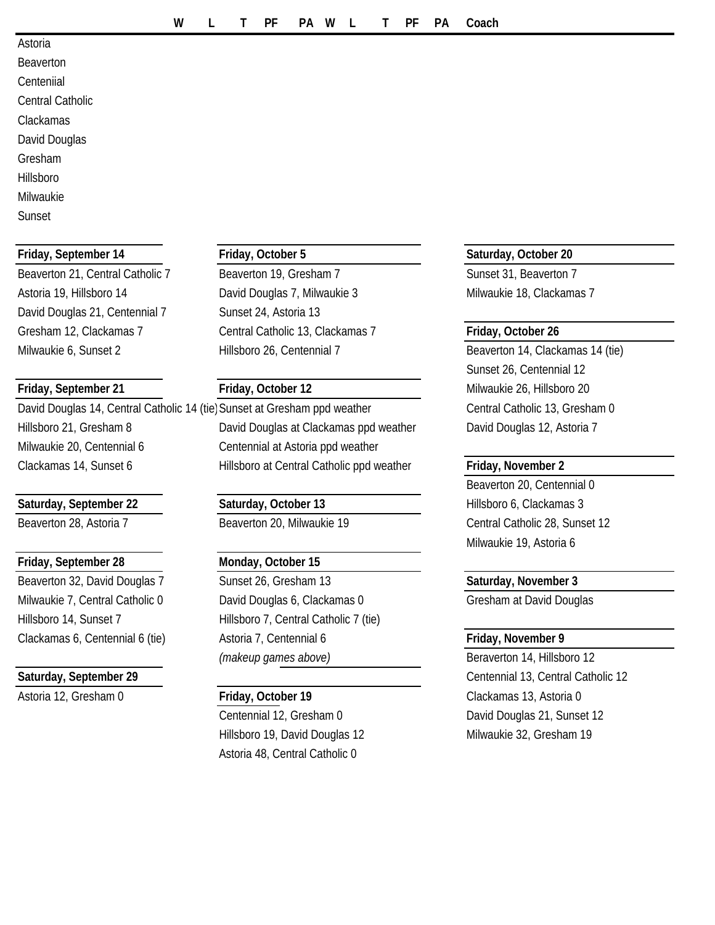### Astoria

Beaverton Centeniial Central Catholic Clackamas David Douglas Gresham Hillsboro Milwaukie

Sunset

David Douglas 21, Centennial 7 Sunset 24, Astoria 13

David Douglas 14, Central Catholic 14 (tie) Sunset at Gresham ppd weather Central Catholic 13, Gresham 0 Milwaukie 20, Centennial 6 Centennial at Astoria ppd weather

### **Saturday, September 22 Saturday, October 13** Hillsboro 6, Clackamas 3

### **Friday, September 28 Monday, October 15**

Beaverton 21, Central Catholic 7 Beaverton 19, Gresham 7 Sunset 31, Beaverton 7 Astoria 19, Hillsboro 14 **David Douglas 7, Milwaukie 3** Milwaukie 18, Clackamas 7 Gresham 12, Clackamas 7 Central Catholic 13, Clackamas 7 **Friday, October 26** Milwaukie 6, Sunset 2 Hillsboro 26, Centennial 7 Beaverton 14, Clackamas 14 (tie)

Hillsboro 21, Gresham 8 David Douglas at Clackamas ppd weather David Douglas 12, Astoria 7 Clackamas 14, Sunset 6 Hillsboro at Central Catholic ppd weather **Friday, November 2**

Beaverton 32, David Douglas 7 Sunset 26, Gresham 13 Saturday, November 3 Milwaukie 7, Central Catholic 0 David Douglas 6, Clackamas 0 Gresham at David Douglas Hillsboro 14, Sunset 7 Hillsboro 7, Central Catholic 7 (tie) Clackamas 6, Centennial 6 (tie) Astoria 7, Centennial 6 **Friday, November 9** *(makeup games above)* Beraverton 14, Hillsboro 12

Hillsboro 19, David Douglas 12 Milwaukie 32, Gresham 19 Astoria 48, Central Catholic 0

### **Friday, September 14 Friday, October 5 Saturday, October 20**

Sunset 26, Centennial 12 **Friday, September 21 Friday, October 12** Milwaukie 26, Hillsboro 20

Beaverton 20, Centennial 0 Beaverton 28, Astoria 7 **Beaverton 20, Milwaukie 19** Central Catholic 28, Sunset 12 Milwaukie 19, Astoria 6

**Saturday, September 29** Centennial 13, Central Catholic 12 Astoria 12, Gresham 0 **Friday, October 19** Clackamas 13, Astoria 0 Centennial 12, Gresham 0 David Douglas 21, Sunset 12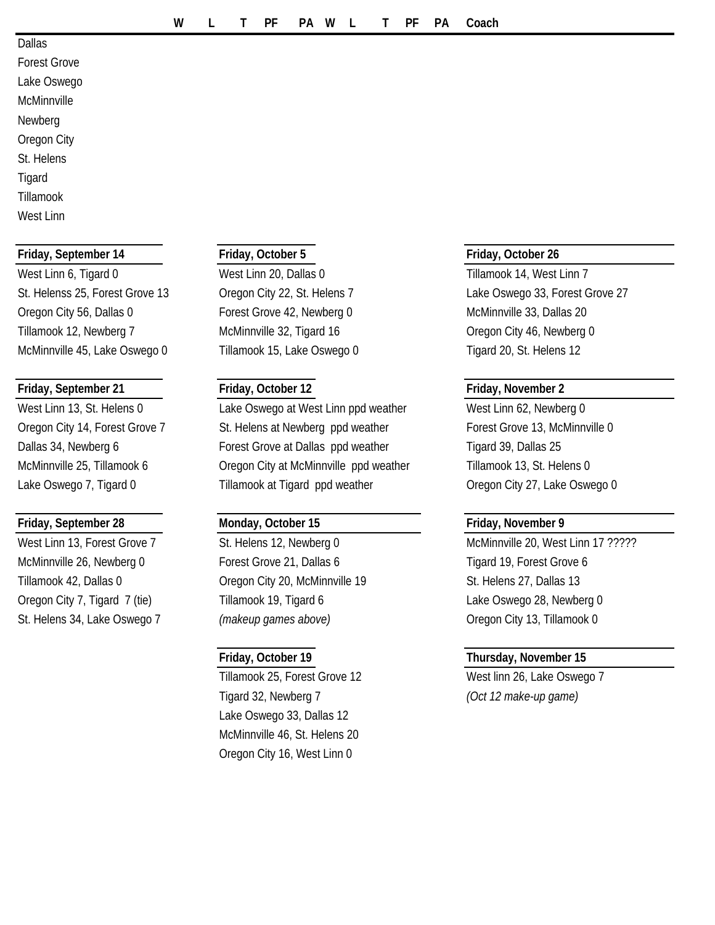### Dallas

Forest Grove Lake Oswego **McMinnville** Newberg Oregon City St. Helens **Tigard** Tillamook West Linn

### **Friday, September 14 Friday, October 5 Friday, October 26**

West Linn 6, Tigard 0 West Linn 20, Dallas 0 Tillamook 14, West Linn 7 Oregon City 56, Dallas 0 Forest Grove 42, Newberg 0 McMinnville 33, Dallas 20 Tillamook 12, Newberg 7 McMinnville 32, Tigard 16 Cregon City 46, Newberg 0 McMinnville 45, Lake Oswego 0 Tillamook 15, Lake Oswego 0 Tigard 20, St. Helens 12

### **Friday, September 21 Friday, October 12 Friday, November 2**

### **Friday, September 28 Monday, October 15 Friday, November 9**

West Linn 13, St. Helens 0 Lake Oswego at West Linn ppd weather West Linn 62, Newberg 0 Oregon City 14, Forest Grove 7 St. Helens at Newberg ppd weather Forest Grove 13, McMinnville 0 Dallas 34, Newberg 6 **Forest Grove at Dallas ppd weather** Figard 39, Dallas 25 McMinnville 25, Tillamook 6 **Oregon City at McMinnville ppd weather** Tillamook 13, St. Helens 0 Lake Oswego 7, Tigard 0 Tillamook at Tigard ppd weather Oregon City 27, Lake Oswego 0

McMinnville 26, Newberg 0 Forest Grove 21, Dallas 6 Tigard 19, Forest Grove 6 Tillamook 42, Dallas 0 Cregon City 20, McMinnville 19 St. Helens 27, Dallas 13 Oregon City 7, Tigard 7 (tie) Tillamook 19, Tigard 6 Lake Oswego 28, Newberg 0 St. Helens 34, Lake Oswego 7 *(makeup games above)* Oregon City 13, Tillamook 0

Tillamook 25, Forest Grove 12 West linn 26, Lake Oswego 7 Tigard 32, Newberg 7 *(Oct 12 make-up game)* Lake Oswego 33, Dallas 12 McMinnville 46, St. Helens 20 Oregon City 16, West Linn 0

St. Helenss 25, Forest Grove 13 Cregon City 22, St. Helens 7 Lake Oswego 33, Forest Grove 27

West Linn 13, Forest Grove 7 St. Helens 12, Newberg 0 McMinnville 20, West Linn 17 ?????

### **Friday, October 19 Thursday, November 15**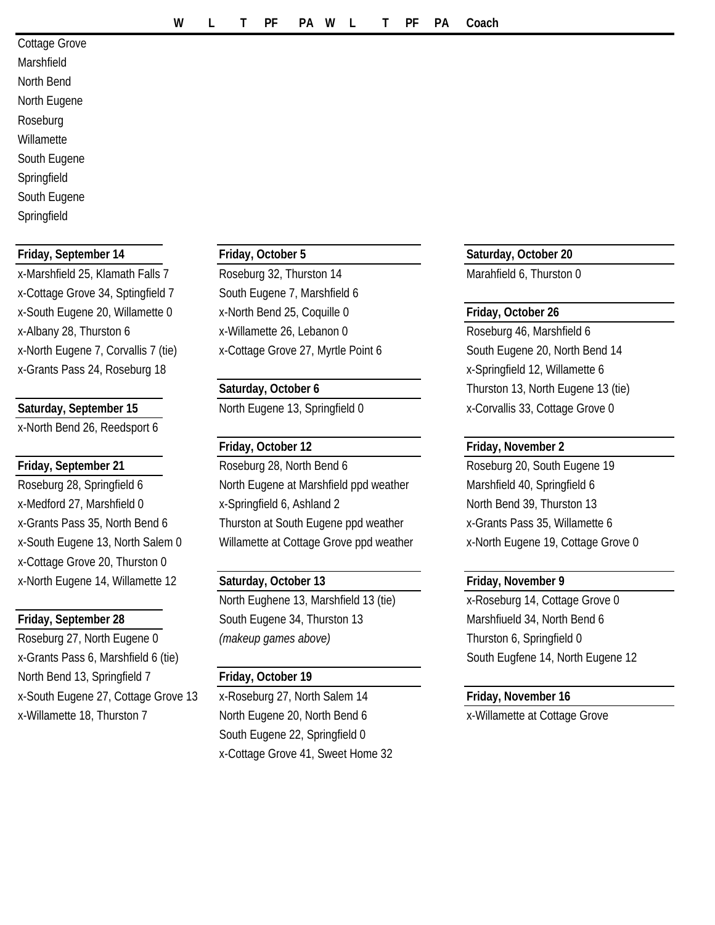| Cottage Grove |  |  |  |  |  |  |
|---------------|--|--|--|--|--|--|
| Marshfield    |  |  |  |  |  |  |
| North Bend    |  |  |  |  |  |  |
| North Eugene  |  |  |  |  |  |  |
| Roseburg      |  |  |  |  |  |  |
| Willamette    |  |  |  |  |  |  |
| South Eugene  |  |  |  |  |  |  |
| Springfield   |  |  |  |  |  |  |
| South Eugene  |  |  |  |  |  |  |
| Springfield   |  |  |  |  |  |  |

x-Cottage Grove 34, Sptingfield 7 South Eugene 7, Marshfield 6 x-North Eugene 7, Corvallis 7 (tie) x-Cottage Grove 27, Myrtle Point 6 South Eugene 20, North Bend 14 x-Grants Pass 24, Roseburg 18 x-Springfield 12, Willamette 6

x-North Bend 26, Reedsport 6

x-Cottage Grove 20, Thurston 0 x-North Eugene 14, Willamette 12 **Saturday, October 13 Friday, November 9**

Roseburg 27, North Eugene 0 *(makeup games above)* Thurston 6, Springfield 0 x-Grants Pass 6, Marshfield 6 (tie) South Eugene 12 South Eugene 14, North Eugene 12 North Bend 13, Springfield 7 **Friday, October 19** x-South Eugene 27, Cottage Grove 13 x-Roseburg 27, North Salem 14 **Friday, November 16** x-Willamette 18, Thurston 7 North Eugene 20, North Bend 6 x-Willamette at Cottage Grove

x-Marshfield 25, Klamath Falls 7 Roseburg 32, Thurston 14 Marahfield 6, Thurston 0 x-South Eugene 20, Willamette 0 x-North Bend 25, Coquille 0 **Friday, October 26** x-Albany 28, Thurston 6 x-Willamette 26, Lebanon 0 Roseburg 46, Marshfield 6

### **Friday, October 12 Friday, November 2**

**Friday, September 21** Roseburg 28, North Bend 6 Roseburg 20, South Eugene 19 Roseburg 28, Springfield 6 North Eugene at Marshfield ppd weather Marshfield 40, Springfield 6 x-Medford 27, Marshfield 0 x-Springfield 6, Ashland 2 North Bend 39, Thurston 13 x-Grants Pass 35, North Bend 6 Thurston at South Eugene ppd weather x-Grants Pass 35, Willamette 6 x-South Eugene 13, North Salem 0 Willamette at Cottage Grove ppd weather x-North Eugene 19, Cottage Grove 0

North Eughene 13, Marshfield 13 (tie) x-Roseburg 14, Cottage Grove 0 **Friday, September 28** South Eugene 34, Thurston 13 Marshfiueld 34, North Bend 6

South Eugene 22, Springfield 0 x-Cottage Grove 41, Sweet Home 32

**Friday, September 14 Friday, October 5 Saturday, October 20**

**Saturday, October 6** Thurston 13, North Eugene 13 (tie) Saturday, September 15 **North Eugene 13, Springfield 0** x-Corvallis 33, Cottage Grove 0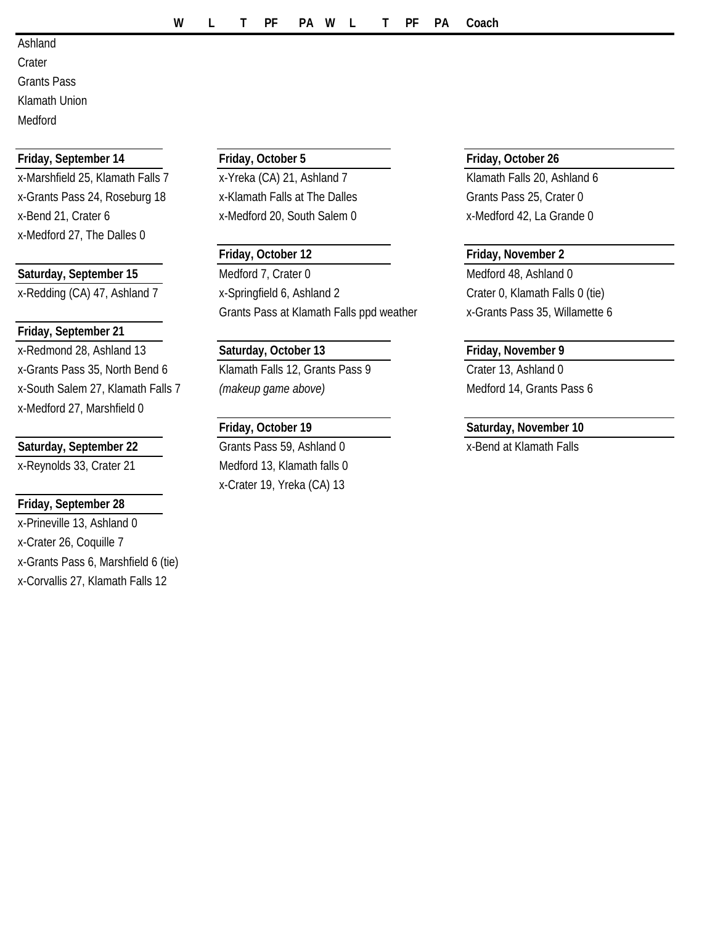Ashland **Crater** 

Grants Pass Klamath Union

Medford

### **Friday, September 14 Friday, October 5 Friday, October 26**

x-Marshfield 25, Klamath Falls 7 x-Yreka (CA) 21, Ashland 7 Klamath Falls 20, Ashland 6 x-Grants Pass 24, Roseburg 18  $x - K$ lamath Falls at The Dalles Grants Pass 25, Crater 0 x-Bend 21, Crater 6 x-Medford 20, South Salem 0 x-Medford 42, La Grande 0 x-Medford 27, The Dalles 0

### **Friday, September 21**

x-Redmond 28, Ashland 13 **Saturday, October 13 Friday, November 9** x-Grants Pass 35, North Bend 6 Klamath Falls 12, Grants Pass 9 Crater 13, Ashland 0 x-South Salem 27, Klamath Falls 7 *(makeup game above)* Medford 14, Grants Pass 6 x-Medford 27, Marshfield 0

### Saturday, September 22 **Grants Pass 59, Ashland 0** x-Bend at Klamath Falls

### **Friday, September 28**

x-Prineville 13, Ashland 0 x-Crater 26, Coquille 7 x-Grants Pass 6, Marshfield 6 (tie) x-Corvallis 27, Klamath Falls 12

Saturday, September 15 Medford 7, Crater 0 Medford 19, Ashland 0 x-Redding (CA) 47, Ashland 7 x-Springfield 6, Ashland 2 Crater 0, Klamath Falls 0 (tie) Grants Pass at Klamath Falls ppd weather x-Grants Pass 35, Willamette 6

x-Reynolds 33, Crater 21 Medford 13, Klamath falls 0 x-Crater 19, Yreka (CA) 13

### **Friday, October 12 Friday, November 2**

### **Friday, October 19 Saturday, November 10**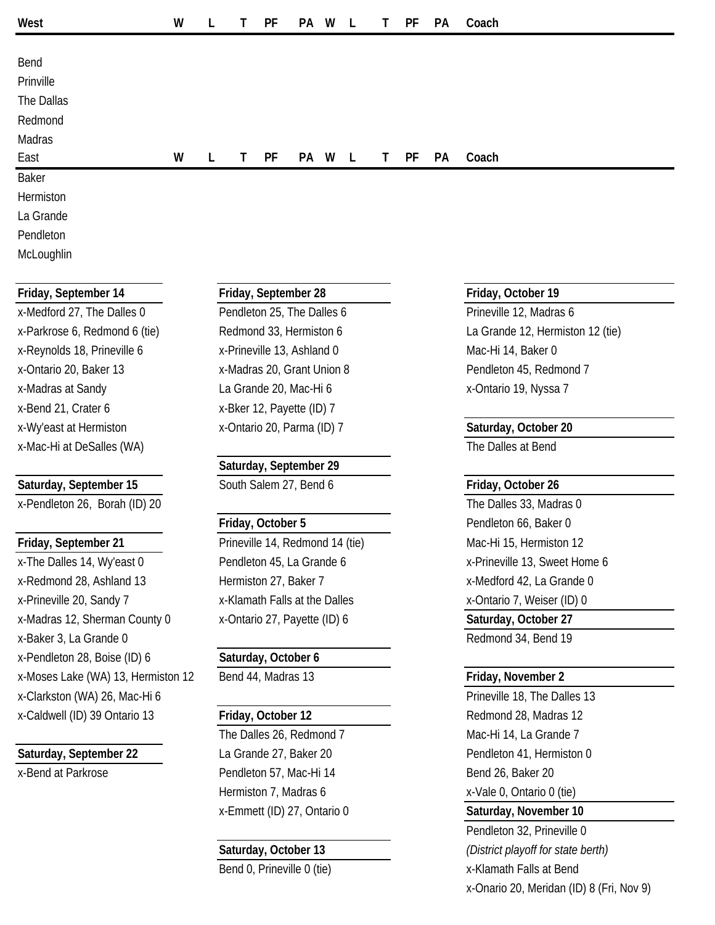| West       | W |   |   | PF | PA | W | $\mathsf{L}$ | T. | PF | <b>PA</b> | Coach |
|------------|---|---|---|----|----|---|--------------|----|----|-----------|-------|
|            |   |   |   |    |    |   |              |    |    |           |       |
| Bend       |   |   |   |    |    |   |              |    |    |           |       |
| Prinville  |   |   |   |    |    |   |              |    |    |           |       |
| The Dallas |   |   |   |    |    |   |              |    |    |           |       |
| Redmond    |   |   |   |    |    |   |              |    |    |           |       |
| Madras     |   |   |   |    |    |   |              |    |    |           |       |
| East       | W | L | Τ | PF | PA | W | $\mathsf{L}$ | T. | PF | PA        | Coach |
| Baker      |   |   |   |    |    |   |              |    |    |           |       |
| Hermiston  |   |   |   |    |    |   |              |    |    |           |       |
| La Grande  |   |   |   |    |    |   |              |    |    |           |       |
| Pendleton  |   |   |   |    |    |   |              |    |    |           |       |

**McLoughlin** 

x-Reynolds 18, Prineville 6 x-Prineville 13, Ashland 0 Mac-Hi 14, Baker 0 x-Ontario 20, Baker 13 x-Madras 20, Grant Union 8 Pendleton 45, Redmond 7 x-Madras at Sandy **La Grande 20, Mac-Hi 6** x-Ontario 19, Nyssa 7 x-Bend 21, Crater 6 x-Bker 12, Payette (ID) 7 x-Wy'east at Hermiston x-Ontario 20, Parma (ID) 7 **Saturday, October 20** x-Mac-Hi at DeSalles (WA) The Dalles at Bend

x-Pendleton 26, Borah (ID) 20 The Dalles 33, Madras 0

x-The Dalles 14, Wy'east 0 Pendleton 45, La Grande 6 x-Prineville 13, Sweet Home 6 x-Redmond 28, Ashland 13 Hermiston 27, Baker 7 Network 2014 2, La Grande 0 x-Prineville 20, Sandy 7 x-Klamath Falls at the Dalles x-Ontario 7, Weiser (ID) 0 x-Madras 12, Sherman County 0 x-Ontario 27, Payette (ID) 6 **Saturday, October 27** x-Baker 3, La Grande 0 and 24, Bend 19 and 24, Bend 19 and 24, Bend 19 and 24, Bend 19 and 24, Bend 19 and 20 x-Pendleton 28, Boise (ID) 6 **Saturday, October 6** x-Moses Lake (WA) 13, Hermiston 12 Bend 44, Madras 13 **Friday, November 2** x-Clarkston (WA) 26, Mac-Hi 6 Prineville 18, The Dalles 13 x-Caldwell (ID) 39 Ontario 13 **Friday, October 12 Redmond 28, Madras 12 Redmond 28, Madras 12** 

### **Friday, September 14 Friday, September 28 Friday, October 19**

x-Medford 27, The Dalles 0 Pendleton 25, The Dalles 6 Prineville 12, Madras 6

### **Saturday, September 29**

Saturday, September 15 South Salem 27, Bend 6 **Friday, October 26** 

Friday, September 21 **Prineville 14, Redmond 14 (tie)** Mac-Hi 15, Hermiston 12

The Dalles 26, Redmond 7 Mac-Hi 14, La Grande 7 Saturday, September 22 La Grande 27, Baker 20 Pendleton 41, Hermiston 0 x-Bend at Parkrose **Pendleton 57, Mac-Hi 14** Bend 26, Baker 20 Hermiston 7, Madras 6 x-Vale 0, Ontario 0 (tie) x-Emmett (ID) 27, Ontario 0 **Saturday, November 10**

x-Parkrose 6, Redmond 6 (tie) Redmond 33, Hermiston 6 La Grande 12, Hermiston 12 (tie)

**Friday, October 5** Pendleton 66, Baker 0

Pendleton 32, Prineville 0 **Saturday, October 13** *(District playoff for state berth)* Bend 0, Prineville 0 (tie) X-Klamath Falls at Bend x-Onario 20, Meridan (ID) 8 (Fri, Nov 9)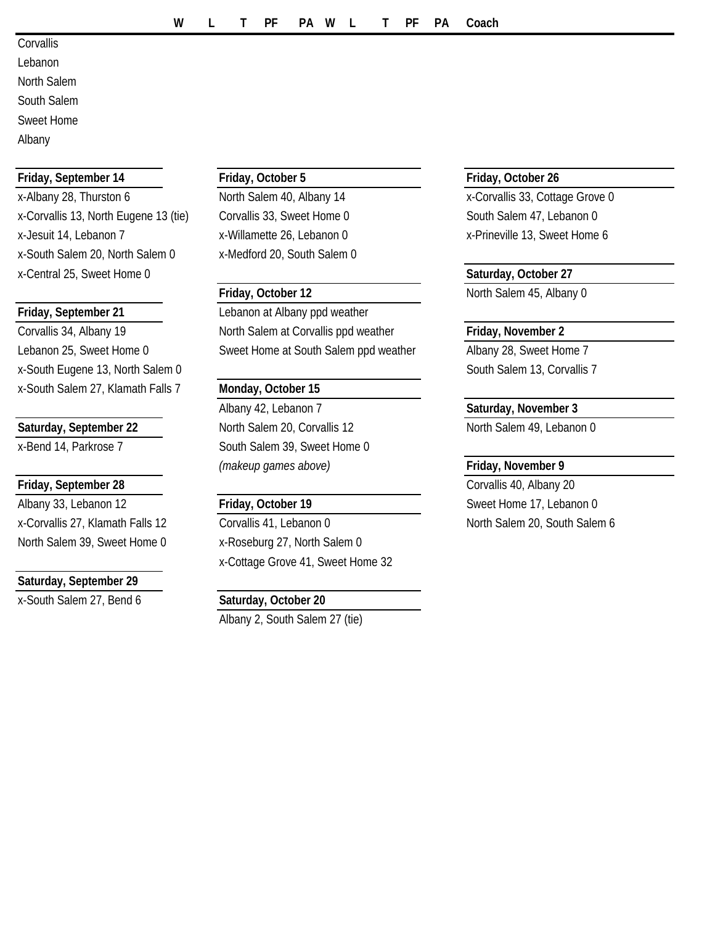**Corvallis** 

Lebanon

North Salem

South Salem

Sweet Home

Albany

### **Friday, September 14 Friday, October 5 Friday, October 26**

x-Albany 28, Thurston 6 North Salem 40, Albany 14 x-Corvallis 33, Cottage Grove 0 x-Corvallis 13, North Eugene 13 (tie) Corvallis 33, Sweet Home 0 South Salem 47, Lebanon 0 x-Jesuit 14, Lebanon 7 x-Willamette 26, Lebanon 0 x-Prineville 13, Sweet Home 6 x-South Salem 20, North Salem 0 x-Medford 20, South Salem 0 x-Central 25, Sweet Home 0 **Saturday, October 27**

x-South Eugene 13, North Salem 0 South Salem 13, Corvallis 7 x-South Salem 27, Klamath Falls 7 **Monday, October 15**

### **Friday, September 28** Corvallis 40, Albany 20

Albany 33, Lebanon 12 **Friday, October 19** Sweet Home 17, Lebanon 0 North Salem 39, Sweet Home 0 x-Roseburg 27, North Salem 0

### **Saturday, September 29**

x-South Salem 27, Bend 6 **Saturday, October 20**

**Friday, September 21** Lebanon at Albany ppd weather Corvallis 34, Albany 19 North Salem at Corvallis ppd weather **Friday, November 2** Lebanon 25, Sweet Home 0 Sweet Home at South Salem ppd weather Albany 28, Sweet Home 7

Albany 42, Lebanon 7 **Saturday, November 3** Saturday, September 22 **North Salem 20, Corvallis 12** North Salem 49, Lebanon 0 x-Bend 14, Parkrose 7 South Salem 39, Sweet Home 0 *(makeup games above)* **Friday, November 9**

x-Corvallis 27, Klamath Falls 12 Corvallis 41, Lebanon 0 North Salem 20, South Salem 6 x-Cottage Grove 41, Sweet Home 32

Albany 2, South Salem 27 (tie)

**Friday, October 12** North Salem 45, Albany 0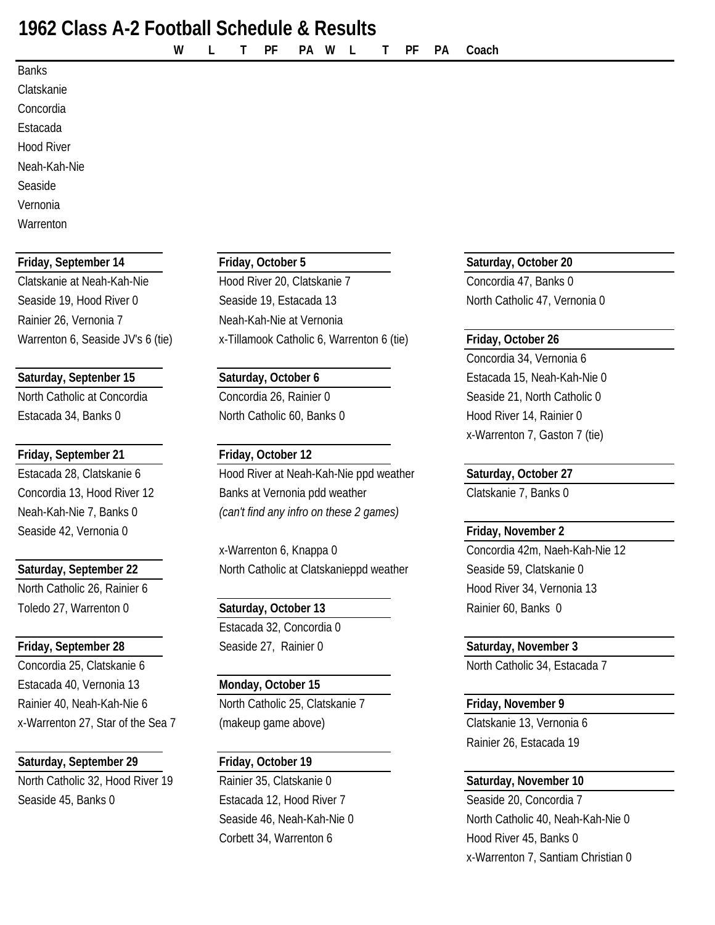# **1962 Class A-2 Football Schedule & Results**

**W L T PF PA W L T PF PA Coach**

### Banks

Clatskanie Concordia Estacada

Hood River

Neah-Kah-Nie

Seaside Vernonia

**Warrenton** 

### **Friday, September 14 Friday, October 5 Saturday, October 20**

Rainier 26, Vernonia 7 Neah-Kah-Nie at Vernonia

Estacada 34, Banks 0 North Catholic 60, Banks 0 Hood River 14, Rainier 0

### **Friday, September 21 Friday, October 12**

Seaside 42, Vernonia 0 **Friday, November 2**

North Catholic 26, Rainier 6 **Hood River 34, Vernonia 13** Hood River 34, Vernonia 13 Toledo 27, Warrenton 0 **Saturday, October 13** Rainier 60, Banks 0

Concordia 25, Clatskanie 6 North Catholic 34, Estacada 7 Estacada 40, Vernonia 13 **Monday, October 15** Rainier 40, Neah-Kah-Nie 6 North Catholic 25, Clatskanie 7 Friday, November 9 x-Warrenton 27, Star of the Sea 7 (makeup game above) Clatskanie 13, Vernonia 6

### **Saturday, September 29 Friday, October 19**

North Catholic 32, Hood River 19 Rainier 35, Clatskanie 0 **Saturday, November 10** Seaside 45, Banks 0 **Estacada 12, Hood River 7** Seaside 20, Concordia 7

Clatskanie at Neah-Kah-Nie **Hood River 20, Clatskanie 7** Concordia 47, Banks 0 Seaside 19, Hood River 0 Seaside 19, Estacada 13 North Catholic 47, Vernonia 0 Warrenton 6, Seaside JV's 6 (tie) **X**-Tillamook Catholic 6, Warrenton 6 (tie) **Friday, October 26** 

Estacada 28, Clatskanie 6 **Hood River at Neah-Kah-Nie ppd weather Saturday, October 27** Concordia 13, Hood River 12 Banks at Vernonia pdd weather Clatskanie 7, Banks 0 Neah-Kah-Nie 7, Banks 0 *(can't find any infro on these 2 games)*

x-Warrenton 6, Knappa 0 Concordia 42m, Naeh-Kah-Nie 12 **Saturday, September 22** North Catholic at Clatskanieppd weather Seaside 59, Clatskanie 0

Estacada 32, Concordia 0 **Friday, September 28** Seaside 27, Rainier 0 **Saturday, November 3**

Corbett 34, Warrenton 6 Hood River 45, Banks 0

Concordia 34, Vernonia 6 Saturday, Septenber 15 **Saturday, October 6** Estacada 15, Neah-Kah-Nie 0 North Catholic at Concordia Concordia Concordia 26, Rainier 0 Seaside 21, North Catholic 0 x-Warrenton 7, Gaston 7 (tie)

# Rainier 26, Estacada 19

Seaside 46, Neah-Kah-Nie 0 North Catholic 40, Neah-Kah-Nie 0 x-Warrenton 7, Santiam Christian 0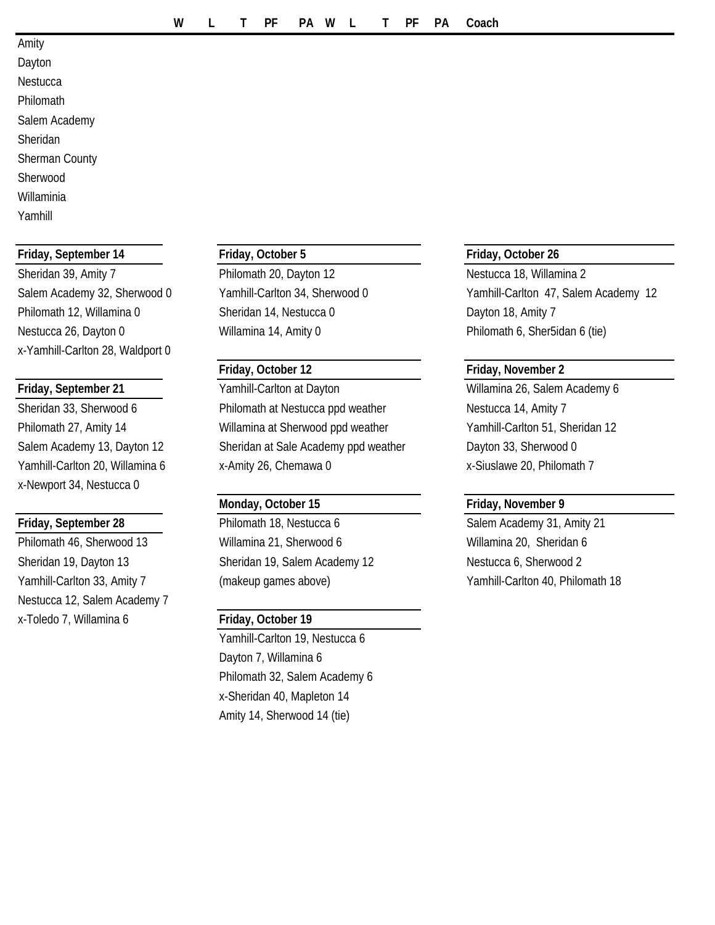### Amity

Dayton **Nestucca** Philomath Salem Academy Sheridan Sherman County Sherwood Willaminia

Yamhill

### **Friday, September 14 Friday, October 5 Friday, October 26**

Philomath 12, Willamina 0 Sheridan 14, Nestucca 0 Dayton 18, Amity 7 Nestucca 26, Dayton 0 Willamina 14, Amity 0 Philomath 6, Sher5idan 6 (tie) x-Yamhill-Carlton 28, Waldport 0

x-Newport 34, Nestucca 0

Philomath 46, Sherwood 13 Willamina 21, Sherwood 6 Willamina 20, Sheridan 6 Sheridan 19, Dayton 13 Sheridan 19, Salem Academy 12 Nestucca 6, Sherwood 2 Nestucca 12, Salem Academy 7 x-Toledo 7, Willamina 6 **Friday, October 19**

Sheridan 39, Amity 7 **Philomath 20, Dayton 12** Nestucca 18, Willamina 2

### **Friday, October 12 Friday, November 2**

**Friday, September 21** Yamhill-Carlton at Dayton Willamina 26, Salem Academy 6 Sheridan 33, Sherwood 6 **Philomath at Nestucca ppd weather** Nestucca 14, Amity 7 Philomath 27, Amity 14 Willamina at Sherwood ppd weather Yamhill-Carlton 51, Sheridan 12 Salem Academy 13, Dayton 12 Sheridan at Sale Academy ppd weather Dayton 33, Sherwood 0 Yamhill-Carlton 20, Willamina 6 x-Amity 26, Chemawa 0 x-Siuslawe 20, Philomath 7

**Friday, September 28** Philomath 18, Nestucca 6 Salem Academy 31, Amity 21

Yamhill-Carlton 19, Nestucca 6 Dayton 7, Willamina 6 Philomath 32, Salem Academy 6 x-Sheridan 40, Mapleton 14 Amity 14, Sherwood 14 (tie)

Salem Academy 32, Sherwood 0 Yamhill-Carlton 34, Sherwood 0 Yamhill-Carlton 47, Salem Academy 12

### **Monday, October 15 Friday, November 9**

Yamhill-Carlton 33, Amity 7 (makeup games above) Yamhill-Carlton 40, Philomath 18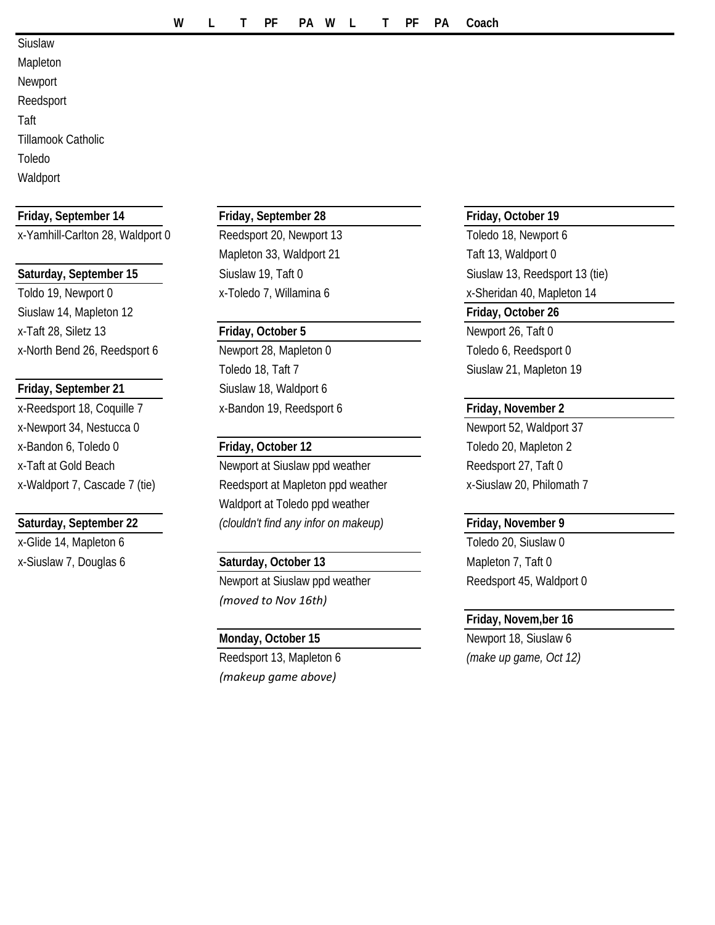- Siuslaw
- Mapleton
- Newport Reedsport

Taft

- Tillamook Catholic
- Toledo
- **Waldport**

### **Friday, September 14 Friday, September 28 Friday, October 19**

x-Yamhill-Carlton 28, Waldport 0 Reedsport 20, Newport 13 Toledo 18, Newport 6

Toldo 19, Newport 0 x-Toledo 7, Willamina 6 x-Sheridan 40, Mapleton 14 Siuslaw 14, Mapleton 12 **Friday, October 26** x-Taft 28, Siletz 13 **Friday, October 5** Newport 26, Taft 0 x-North Bend 26, Reedsport 6 Newport 28, Mapleton 0 Toledo 6, Reedsport 0

x-Reedsport 18, Coquille 7 x-Bandon 19, Reedsport 6 **Friday, November 2** x-Newport 34, Nestucca 0 <br>
Newport 52, Waldport 37 x-Bandon 6, Toledo 0 **Friday, October 12** Toledo 20, Mapleton 2

x-Glide 14, Mapleton 6 Toledo 20, Siuslaw 0

Mapleton 33, Waldport 21 Taft 13, Waldport 0

Toledo 18, Taft 7 Siuslaw 21, Mapleton 19 **Friday, September 21** Siuslaw 18, Waldport 6

x-Taft at Gold Beach Newport at Siuslaw ppd weather Reedsport 27, Taft 0 x-Waldport 7, Cascade 7 (tie) Reedsport at Mapleton ppd weather x-Siuslaw 20, Philomath 7 Waldport at Toledo ppd weather **Saturday, September 22** *(clouldn't find any infor on makeup)* **Friday, November 9**

# x-Siuslaw 7, Douglas 6 **Saturday, October 13** Mapleton 7, Taft 0

*(moved to Nov 16th)*

Reedsport 13, Mapleton 6 *(make up game, Oct 12) (makeup game above)*

Saturday, September 15 Siuslaw 19, Taft 0 Siuslaw 19, Taft 0 Siuslaw 13, Reedsport 13 (tie)

Newport at Siuslaw ppd weather Reedsport 45, Waldport 0

### **Friday, Novem,ber 16**

**Monday, October 15** Newport 18, Siuslaw 6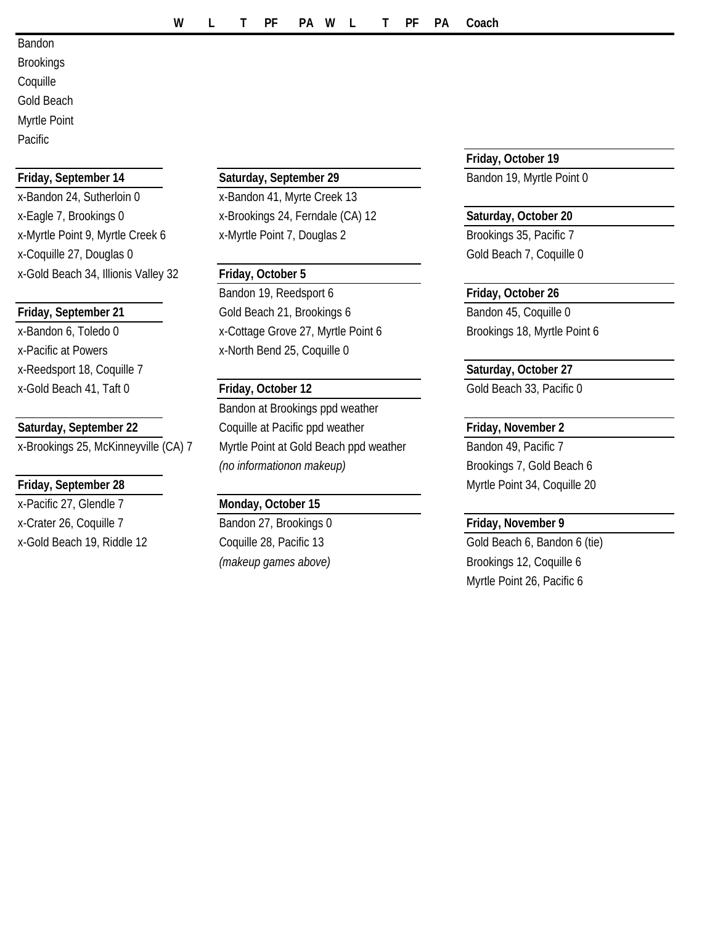Bandon Brookings Coquille Gold Beach Myrtle Point

**Pacific** 

x-Bandon 24, Sutherloin 0 x-Bandon 41, Myrte Creek 13 x-Eagle 7, Brookings 0 x-Brookings 24, Ferndale (CA) 12 **Saturday, October 20** x-Myrtle Point 9, Myrtle Creek 6 x-Myrtle Point 7, Douglas 2 Brookings 35, Pacific 7 x-Coquille 27, Douglas 0 Gold Beach 7, Coquille 0 x-Gold Beach 34, Illionis Valley 32 **Friday, October 5**

x-Reedsport 18, Coquille 7 **Saturday, October 27** x-Gold Beach 41, Taft 0 **Friday, October 12** Gold Beach 33, Pacific 0

x-Pacific 27, Glendle 7 **Monday, October 15** x-Crater 26, Coquille 7 Bandon 27, Brookings 0 **Friday, November 9** x-Gold Beach 19, Riddle 12 Coquille 28, Pacific 13 Gold Beach 6, Bandon 6 (tie)

### **Friday, September 14 Saturday, September 29** Bandon 19, Myrtle Point 0

Bandon 19, Reedsport 6 **Friday**, October 26 **Friday, September 21** Gold Beach 21, Brookings 6 Bandon 45, Coquille 0 x-Bandon 6, Toledo 0 x-Cottage Grove 27, Myrtle Point 6 Brookings 18, Myrtle Point 6 x-Pacific at Powers x-North Bend 25, Coquille 0

Bandon at Brookings ppd weather **Saturday, September 22** Coquille at Pacific ppd weather **Friday, November 2** x-Brookings 25, McKinneyville (CA) 7 Myrtle Point at Gold Beach ppd weather Bandon 49, Pacific 7 *(no informationon makeup)* Brookings 7, Gold Beach 6

**Friday, October 19**

**Friday, September 28** Myrtle Point 34, Coquille 20

*(makeup games above)* Brookings 12, Coquille 6 Myrtle Point 26, Pacific 6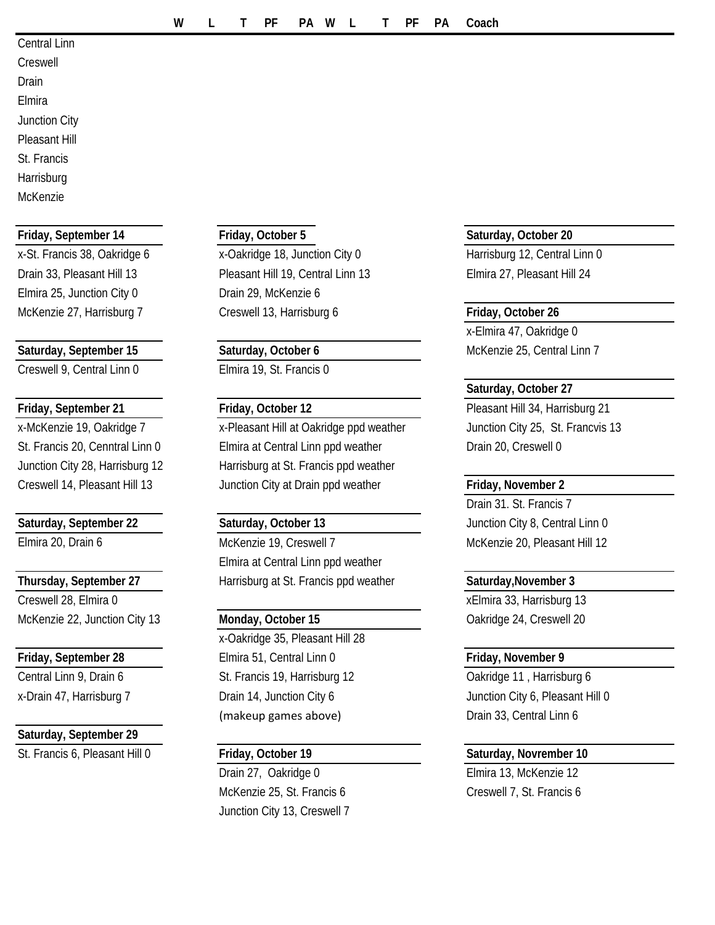- Central Linn Creswell Drain Elmira Junction City Pleasant Hill St. Francis
- **Harrisburg** McKenzie

### **Friday, September 14 Friday, October 5 Saturday, October 20**

Elmira 25, Junction City 0 Drain 29, McKenzie 6

Creswell 9, Central Linn 0 Elmira 19, St. Francis 0

Creswell 28, Elmira 0 xelmira 33, Harrisburg 13 McKenzie 22, Junction City 13 **Monday, October 15** Oakridge 24, Creswell 20

### **Saturday, September 29**

St. Francis 6, Pleasant Hill 0 **Friday, October 19 Saturday, Novrember 10**

x-St. Francis 38, Oakridge 6 x-Oakridge 18, Junction City 0 Harrisburg 12, Central Linn 0 Drain 33, Pleasant Hill 13 Pleasant Hill 19, Central Linn 13 Elmira 27, Pleasant Hill 24 McKenzie 27, Harrisburg 7 **Creswell 13, Harrisburg 6** Friday, October 26

x-McKenzie 19, Oakridge 7 x-Pleasant Hill at Oakridge ppd weather Junction City 25, St. Francvis 13 St. Francis 20, Cenntral Linn 0 Elmira at Central Linn ppd weather **Drain 20, Creswell 0** Junction City 28, Harrisburg 12 Harrisburg at St. Francis ppd weather Creswell 14, Pleasant Hill 13 Junction City at Drain ppd weather **Friday, November 2**

Elmira 20, Drain 6 McKenzie 19, Creswell 7 McKenzie 20, Pleasant Hill 12 Elmira at Central Linn ppd weather **Thursday, September 27** Harrisburg at St. Francis ppd weather **Saturday, November 3** 

x-Oakridge 35, Pleasant Hill 28 **Friday, September 28** Elmira 51, Central Linn 0 **Friday, November 9** Central Linn 9, Drain 6 St. Francis 19, Harrisburg 12 Central Linn 9, Drain 6 St. Francis 19, Harrisburg 12 x-Drain 47, Harrisburg 7 **Drain 14, Junction City 6** Junction City 6, Pleasant Hill 0 (makeup games above) Drain 33, Central Linn 6

Drain 27, Oakridge 0 Elmira 13, McKenzie 12 McKenzie 25, St. Francis 6 Creswell 7, St. Francis 6 Junction City 13, Creswell 7

x-Elmira 47, Oakridge 0 **Saturday, September 15 Saturday, October 6** McKenzie 25, Central Linn 7

### **Saturday, October 27**

**Friday, September 21 Friday, October 12 Pleasant Hill 34, Harrisburg 21** 

Drain 31. St. Francis 7 **Saturday, September 22 Saturday, October 13** Junction City 8, Central Linn 0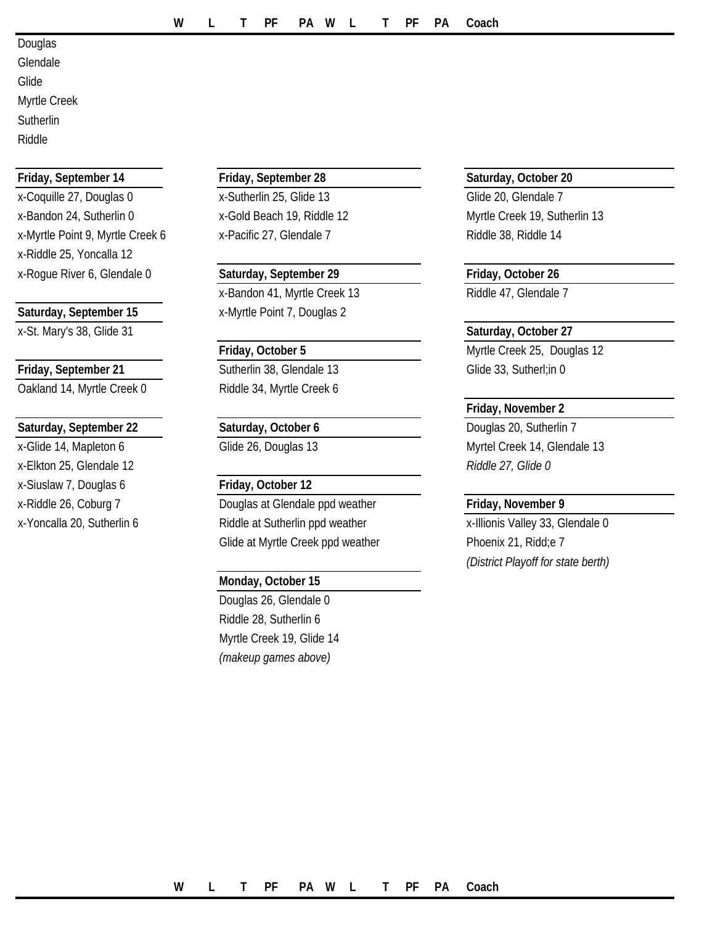Douglas Glendale Glide Myrtle Creek **Sutherlin** Riddle

### **Friday, September 14 Friday, September 28 Saturday, October 20**

x-Coquille 27, Douglas 0 x-Sutherlin 25, Glide 13 Glide 20, Glendale 7 x-Bandon 24, Sutherlin 0 x-Gold Beach 19, Riddle 12 Myrtle Creek 19, Sutherlin 13 x-Myrtle Point 9, Myrtle Creek 6 x-Pacific 27, Glendale 7 Riddle 38, Riddle 14 x-Riddle 25, Yoncalla 12 x-Rogue River 6, Glendale 0 **Saturday, September 29 Friday, October 26**

x-St. Mary's 38, Glide 31 **Saturday, October 27**

**Friday, September 21** Sutherlin 38, Glendale 13 Glide 33, Sutherl; in 0 Oakland 14, Myrtle Creek 0 Riddle 34, Myrtle Creek 6

### **Saturday, September 22 Saturday, October 6** Douglas 20, Sutherlin 7

x-Elkton 25, Glendale 12 *Riddle 27, Glide 0* x-Siuslaw 7, Douglas 6 **Friday, October 12**

x-Bandon 41, Myrtle Creek 13 Riddle 47, Glendale 7 **Saturday, September 15** x-Myrtle Point 7, Douglas 2

x-Riddle 26, Coburg 7 Douglas at Glendale ppd weather **Friday, November 9** x-Yoncalla 20, Sutherlin 6 Riddle at Sutherlin ppd weather x-Illionis Valley 33, Glendale 0 Glide at Myrtle Creek ppd weather Phoenix 21, Ridd; e 7

### **Monday, October 15**

Douglas 26, Glendale 0 Riddle 28, Sutherlin 6 Myrtle Creek 19, Glide 14 *(makeup games above)*

**Friday, October 5** Myrtle Creek 25, Douglas 12

### **Friday, November 2**

x-Glide 14, Mapleton 6 Glide 26, Douglas 13 Myrtel Creek 14, Glendale 13

*(District Playoff for state berth)*

### **W L T PF PA W L T PF PA Coach**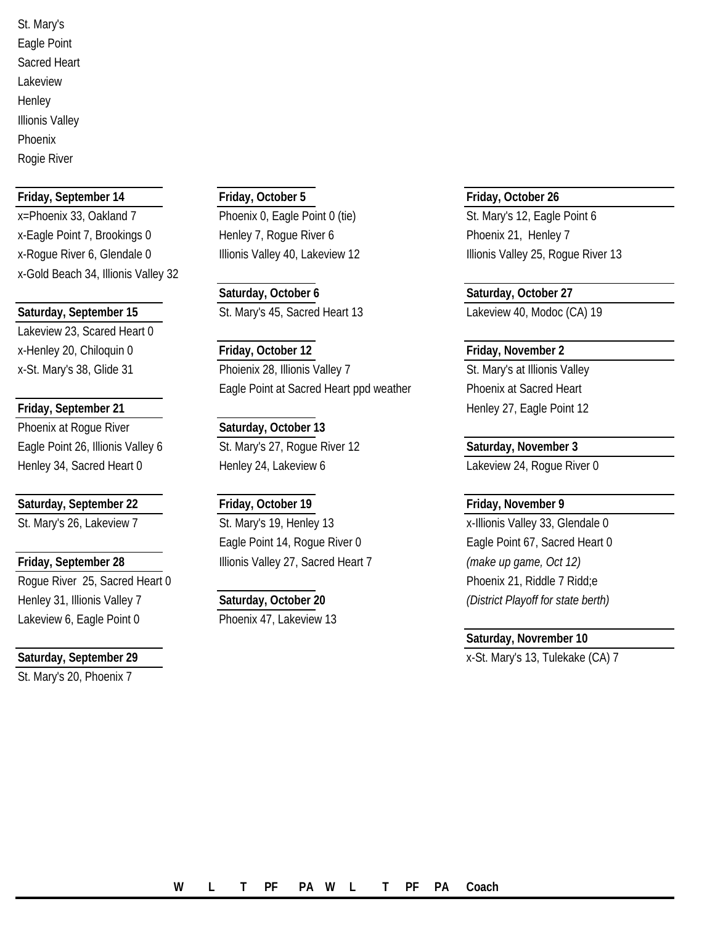St. Mary's Eagle Point Sacred Heart Lakeview **Henley** Illionis Valley Phoenix Rogie River

x=Phoenix 33, Oakland 7 Phoenix 0, Eagle Point 0 (tie) St. Mary's 12, Eagle Point 6 x-Eagle Point 7, Brookings 0 Henley 7, Roque River 6 Phoenix 21, Henley 7 x-Rogue River 6, Glendale 0 Illionis Valley 40, Lakeview 12 Illionis Valley 25, Rogue River 13 x-Gold Beach 34, Illionis Valley 32

Lakeview 23, Scared Heart 0

### **Friday, September 21 Henley 27, Eagle Point 12 Henley 27, Eagle Point 12**

Phoenix at Roque River **Saturday**, October 13 Eagle Point 26, Illionis Valley 6 St. Mary's 27, Roque River 12 Saturday, November 3

Rogue River 25, Sacred Heart 0 **Phoenix 21**, Riddle 7 Ridd; e Henley 31, Illionis Valley 7 **Saturday, October 20** *(District Playoff for state berth)* Lakeview 6, Eagle Point 0 Phoenix 47, Lakeview 13

St. Mary's 20, Phoenix 7

# **Friday, September 14 Friday, October 5 Friday, October 26**

**Saturday, October 6 Saturday, October 27 Saturday, September 15** St. Mary's 45, Sacred Heart 13 Lakeview 40, Modoc (CA) 19

### x-Henley 20, Chiloquin 0 **Friday, October 12 Friday, November 2** x-St. Mary's 38, Glide 31 **Phoienix 28, Illionis Valley 7** St. Mary's at Illionis Valley 1 Eagle Point at Sacred Heart ppd weather Phoenix at Sacred Heart

Henley 34, Sacred Heart 0 Henley 24, Lakeview 6 Lakeview 24, Roque River 0

# **Saturday, September 22 Friday, October 19 Friday, November 9**

St. Mary's 26, Lakeview 7 St. Mary's 19, Henley 13 St. Mary's 19, Henley 13 St. Mary's 26, Clendale 0 Eagle Point 14, Rogue River 0 Eagle Point 67, Sacred Heart 0 **Friday, September 28** Illionis Valley 27, Sacred Heart 7 *(make up game, Oct 12)*

### **Saturday, Novrember 10**

**Saturday, September 29 Saturday, September 29 x**-St. Mary's 13, Tulekake (CA) 7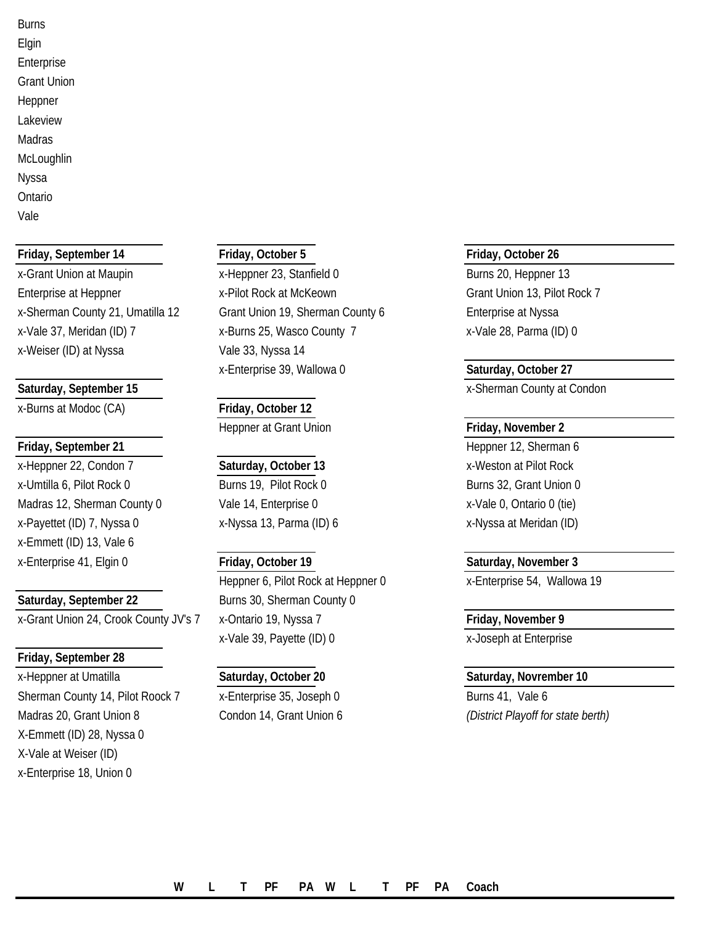Burns Elgin Enterprise Grant Union Heppner Lakeview Madras **McLoughlin** Nyssa Ontario Vale

### **Friday, September 14 Friday, October 5 Friday, October 26**

x-Weiser (ID) at Nyssa van all vale 33, Nyssa 14

x-Burns at Modoc (CA) **Friday, October 12**

x-Heppner 22, Condon 7 **Saturday, October 13** x-Weston at Pilot Rock x-Umtilla 6, Pilot Rock 0 Burns 19, Pilot Rock 0 Burns 32, Grant Union 0 Madras 12, Sherman County 0 Vale 14, Enterprise 0 X-Vale 0, Ontario 0 (tie) x-Payettet (ID) 7, Nyssa 0 x-Nyssa 13, Parma (ID) 6 x-Payettet (ID) 7, Nyssa 0 x-Emmett (ID) 13, Vale 6 x-Enterprise 41, Elgin 0 **Friday, October 19 Saturday, November 3**

x-Grant Union 24, Crook County JV's 7 x-Ontario 19, Nyssa 7 **Friday, November 9**

### **Friday, September 28**

x-Heppner at Umatilla **Saturday, October 20 Saturday, Novrember 10** Sherman County 14, Pilot Roock 7 x-Enterprise 35, Joseph 0 Burns 41, Vale 6 Madras 20, Grant Union 8 Condon 14, Grant Union 6 *(District Playoff for state berth)* X-Emmett (ID) 28, Nyssa 0 X-Vale at Weiser (ID) x-Enterprise 18, Union 0

x-Grant Union at Maupin The State of Aleppner 23, Stanfield 0 and State 30, Heppner 13 Enterprise at Heppner The Stephen Assembly X-Pilot Rock at McKeown Grant Union 13, Pilot Rock 7 x-Sherman County 21, Umatilla 12 Grant Union 19, Sherman County 6 Enterprise at Nyssa x-Vale 37, Meridan (ID) 7 x-Burns 25, Wasco County 7 x-Vale 28, Parma (ID) 0 x-Enterprise 39, Wallowa 0 **Saturday, October 27**

**Heppner at Grant Union <b>Friday, November 2** 

Heppner 6, Pilot Rock at Heppner 0 x-Enterprise 54, Wallowa 19 **Saturday, September 22** Burns 30, Sherman County 0 x-Vale 39, Payette (ID) 0 x-Joseph at Enterprise

**Saturday, September 15 Saturday, September 15 x**-Sherman County at Condon

**Friday, September 21 Heppner 12, Sherman 6 Heppner 12, Sherman 6**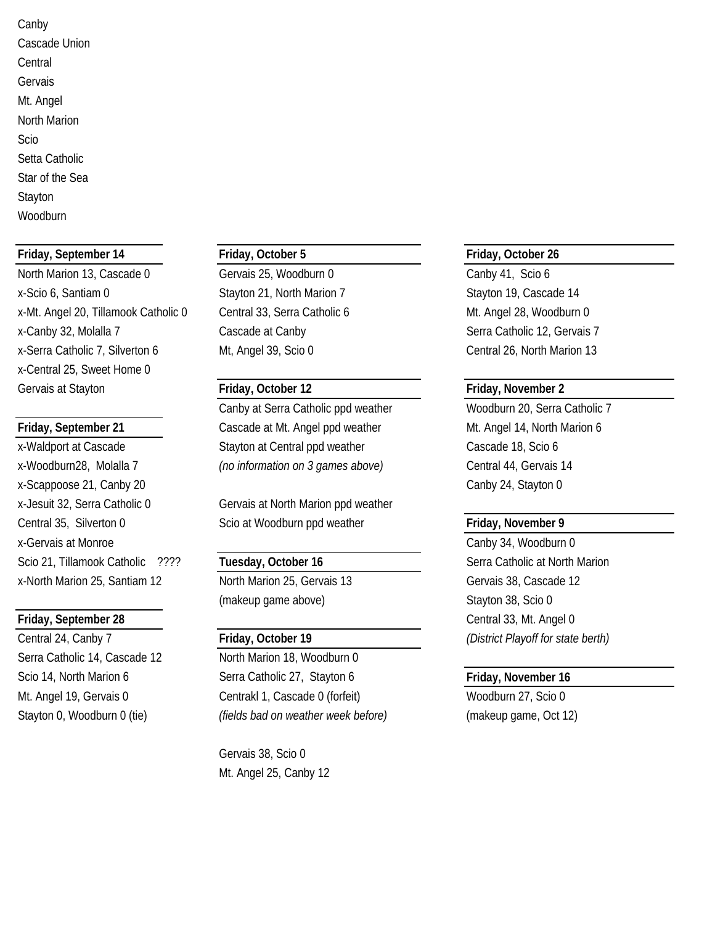Canby Cascade Union **Central** Gervais Mt. Angel North Marion Scio Setta Catholic Star of the Sea Stayton **Woodburn** 

### **Friday, September 14 Friday, October 5 Friday, October 26**

North Marion 13, Cascade 0 Gervais 25, Woodburn 0 Canby 41, Scio 6 x-Scio 6, Santiam 0 Stayton 21, North Marion 7 Stayton 19, Cascade 14 x-Mt. Angel 20, Tillamook Catholic 0 Central 33, Serra Catholic 6 Mt. Angel 28, Woodburn 0 x-Canby 32, Molalla 7 Cascade at Canby Serra Catholic 12, Gervais 7 x-Serra Catholic 7, Silverton 6 Mt, Angel 39, Scio 0 Central 26, North Marion 13 x-Central 25, Sweet Home 0 Gervais at Stayton **Friday, October 12 Friday, November 2**

x-Scappoose 21, Canby 20 Canby 24, Stayton 0 x-Gervais at Monroe Canby 34, Woodburn 0 Scio 21, Tillamook Catholic ???? **Tuesday, October 16** Serra Catholic at North Marion x-North Marion 25, Santiam 12 North Marion 25, Gervais 13 Gervais 38, Cascade 12

Serra Catholic 14, Cascade 12 North Marion 18, Woodburn 0

Canby at Serra Catholic ppd weather Woodburn 20, Serra Catholic 7 **Friday, September 21** Cascade at Mt. Angel ppd weather Mt. Angel 14, North Marion 6 x-Waldport at Cascade Stayton at Central ppd weather Cascade 18, Scio 6 x-Woodburn28, Molalla 7 *(no information on 3 games above)* Central 44, Gervais 14

x-Jesuit 32, Serra Catholic 0 Gervais at North Marion ppd weather Central 35, Silverton 0 Scio at Woodburn ppd weather **Friday, November 9**

(makeup game above) Stayton 38, Scio 0

Scio 14, North Marion 6 **Serra Catholic 27, Stayton 6** Friday, November 16 Mt. Angel 19, Gervais 0 Centrakl 1, Cascade 0 (forfeit) Woodburn 27, Scio 0 Stayton 0, Woodburn 0 (tie) *(fields bad on weather week before)* (makeup game, Oct 12)

> Gervais 38, Scio 0 Mt. Angel 25, Canby 12

**Friday, September 28** Central 33, Mt. Angel 0 Central 24, Canby 7 **Friday, October 19** *(District Playoff for state berth)*